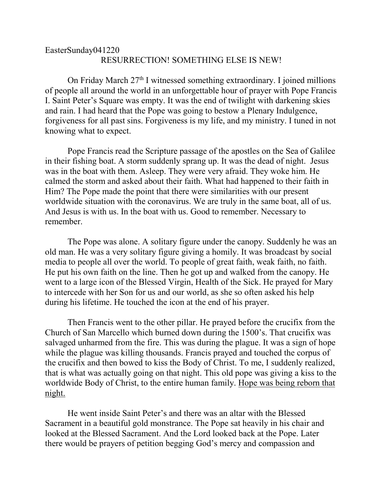## EasterSunday041220 RESURRECTION! SOMETHING ELSE IS NEW!

On Friday March  $27<sup>th</sup>$  I witnessed something extraordinary. I joined millions of people all around the world in an unforgettable hour of prayer with Pope Francis I. Saint Peter's Square was empty. It was the end of twilight with darkening skies and rain. I had heard that the Pope was going to bestow a Plenary Indulgence, forgiveness for all past sins. Forgiveness is my life, and my ministry. I tuned in not knowing what to expect.

Pope Francis read the Scripture passage of the apostles on the Sea of Galilee in their fishing boat. A storm suddenly sprang up. It was the dead of night. Jesus was in the boat with them. Asleep. They were very afraid. They woke him. He calmed the storm and asked about their faith. What had happened to their faith in Him? The Pope made the point that there were similarities with our present worldwide situation with the coronavirus. We are truly in the same boat, all of us. And Jesus is with us. In the boat with us. Good to remember. Necessary to remember.

The Pope was alone. A solitary figure under the canopy. Suddenly he was an old man. He was a very solitary figure giving a homily. It was broadcast by social media to people all over the world. To people of great faith, weak faith, no faith. He put his own faith on the line. Then he got up and walked from the canopy. He went to a large icon of the Blessed Virgin, Health of the Sick. He prayed for Mary to intercede with her Son for us and our world, as she so often asked his help during his lifetime. He touched the icon at the end of his prayer.

Then Francis went to the other pillar. He prayed before the crucifix from the Church of San Marcello which burned down during the 1500's. That crucifix was salvaged unharmed from the fire. This was during the plague. It was a sign of hope while the plague was killing thousands. Francis prayed and touched the corpus of the crucifix and then bowed to kiss the Body of Christ. To me, I suddenly realized, that is what was actually going on that night. This old pope was giving a kiss to the worldwide Body of Christ, to the entire human family. Hope was being reborn that night.

He went inside Saint Peter's and there was an altar with the Blessed Sacrament in a beautiful gold monstrance. The Pope sat heavily in his chair and looked at the Blessed Sacrament. And the Lord looked back at the Pope. Later there would be prayers of petition begging God's mercy and compassion and